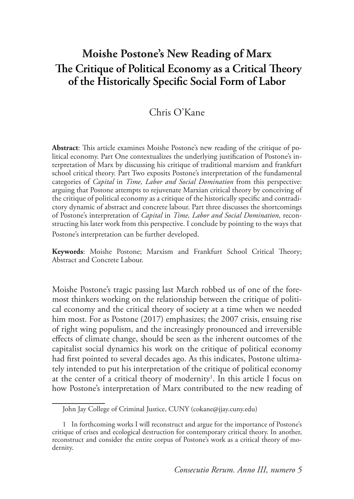# **Moishe Postone's New Reading of Marx The Critique of Political Economy as a Critical Theory of the Historically Specific Social Form of Labor**

# Chris O'Kane

**Abstract**: This article examines Moishe Postone's new reading of the critique of political economy. Part One contextualizes the underlying justification of Postone's interpretation of Marx by discussing his critique of traditional marxism and frankfurt school critical theory. Part Two exposits Postone's interpretation of the fundamental categories of *Capital* in *Time, Labor and Social Domination* from this perspective: arguing that Postone attempts to rejuvenate Marxian critical theory by conceiving of the critique of political economy as a critique of the historically specific and contradictory dynamic of abstract and concrete labour. Part three discusses the shortcomings of Postone's interpretation of *Capital* in *Time, Labor and Social Domination*, reconstructing his later work from this perspective. I conclude by pointing to the ways that Postone's interpretation can be further developed.

**Keywords**: Moishe Postone; Marxism and Frankfurt School Critical Theory; Abstract and Concrete Labour.

Moishe Postone's tragic passing last March robbed us of one of the foremost thinkers working on the relationship between the critique of political economy and the critical theory of society at a time when we needed him most. For as Postone (2017) emphasizes; the 2007 crisis, ensuing rise of right wing populism, and the increasingly pronounced and irreversible effects of climate change, should be seen as the inherent outcomes of the capitalist social dynamics his work on the critique of political economy had first pointed to several decades ago. As this indicates, Postone ultimately intended to put his interpretation of the critique of political economy at the center of a critical theory of modernity<sup>1</sup>. In this article I focus on how Postone's interpretation of Marx contributed to the new reading of

John Jay College of Criminal Justice, CUNY (cokane@jjay.cuny.edu)

<sup>1</sup> In forthcoming works I will reconstruct and argue for the importance of Postone's critique of crises and ecological destruction for contemporary critical theory. In another, reconstruct and consider the entire corpus of Postone's work as a critical theory of modernity.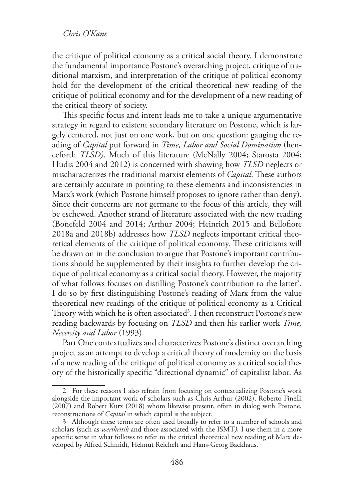the critique of political economy as a critical social theory. I demonstrate the fundamental importance Postone's overarching project, critique of traditional marxism, and interpretation of the critique of political economy hold for the development of the critical theoretical new reading of the critique of political economy and for the development of a new reading of the critical theory of society.

This specific focus and intent leads me to take a unique argumentative strategy in regard to existent secondary literature on Postone, which is largely centered, not just on one work, but on one question: gauging the reading of *Capital* put forward in *Time, Labor and Social Domination* (henceforth *TLSD)*. Much of this literature (McNally 2004; Starosta 2004; Hudis 2004 and 2012) is concerned with showing how *TLSD* neglects or mischaracterizes the traditional marxist elements of *Capital*. These authors are certainly accurate in pointing to these elements and inconsistencies in Marx's work (which Postone himself proposes to ignore rather than deny). Since their concerns are not germane to the focus of this article, they will be eschewed. Another strand of literature associated with the new reading (Bonefeld 2004 and 2014; Arthur 2004; Heinrich 2015 and Bellofiore 2018a and 2018b) addresses how *TLSD* neglects important critical theoretical elements of the critique of political economy. These criticisms will be drawn on in the conclusion to argue that Postone's important contributions should be supplemented by their insights to further develop the critique of political economy as a critical social theory. However, the majority of what follows focuses on distilling Postone's contribution to the latter<sup>2</sup>. I do so by first distinguishing Postone's reading of Marx from the value theoretical new readings of the critique of political economy as a Critical Theory with which he is often associated<sup>3</sup>. I then reconstruct Postone's new reading backwards by focusing on *TLSD* and then his earlier work *Time, Necessity and Labor* (1993).

Part One contextualizes and characterizes Postone's distinct overarching project as an attempt to develop a critical theory of modernity on the basis of a new reading of the critique of political economy as a critical social theory of the historically specific "directional dynamic" of capitalist labor. As

<sup>2</sup> For these reasons I also refrain from focusing on contextualizing Postone's work alongside the important work of scholars such as Chris Arthur (2002), Roberto Finelli (2007) and Robert Kurz (2018) whom likewise present, often in dialog with Postone, reconstructions of *Capital* in which capital is the subject.

<sup>3</sup> Although these terms are often used broadly to refer to a number of schools and scholars (such as *wertkritik* and those associated with the ISMT*),* I use them in a more specific sense in what follows to refer to the critical theoretical new reading of Marx developed by Alfred Schmidt, Helmut Reichelt and Hans-Georg Backhaus.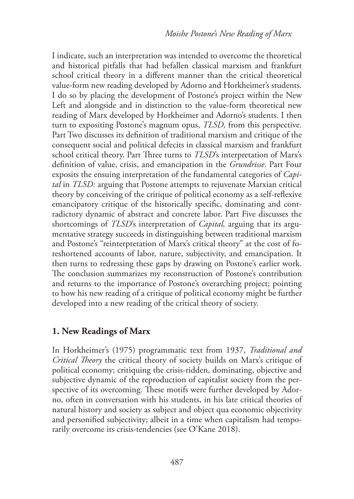I indicate, such an interpretation was intended to overcome the theoretical and historical pitfalls that had befallen classical marxism and frankfurt school critical theory in a different manner than the critical theoretical value-form new reading developed by Adorno and Horkheimer's students. I do so by placing the development of Postone's project within the New Left and alongside and in distinction to the value-form theoretical new reading of Marx developed by Horkheimer and Adorno's students. I then turn to expositing Postone's magnum opus, *TLSD,* from this perspective. Part Two discusses its definition of traditional marxism and critique of the consequent social and political defecits in classical marxism and frankfurt school critical theory. Part Three turns to *TLSD*'s interpretation of Marx's definition of value, crisis, and emancipation in the *Grundrisse*. Part Four exposits the ensuing interpretation of the fundamental categories of *Capital* in *TLSD:* arguing that Postone attempts to rejuvenate Marxian critical theory by conceiving of the critique of political economy as a self-reflexive emancipatory critique of the historically specific, dominating and contradictory dynamic of abstract and concrete labor. Part Five discusses the shortcomings of *TLSD*'s interpretation of *Capital,* arguing that its argumentative strategy succeeds in distinguishing between traditional marxism and Postone's "reinterpretation of Marx's critical theory" at the cost of foreshortened accounts of labor, nature, subjectivity, and emancipation. It then turns to redressing these gaps by drawing on Postone's earlier work. The conclusion summarizes my reconstruction of Postone's contribution and returns to the importance of Postone's overarching project; pointing to how his new reading of a critique of political economy might be further developed into a new reading of the critical theory of society.

## **1. New Readings of Marx**

In Horkheimer's (1975) programmatic text from 1937, *Traditional and Critical Theory* the critical theory of society builds on Marx's critique of political economy; critiquing the crisis-ridden, dominating, objective and subjective dynamic of the reproduction of capitalist society from the perspective of its overcoming. These motifs were further developed by Adorno, often in conversation with his students, in his late critical theories of natural history and society as subject and object qua economic objectivity and personified subjectivity; albeit in a time when capitalism had temporarily overcome its crisis-tendencies (see O'Kane 2018).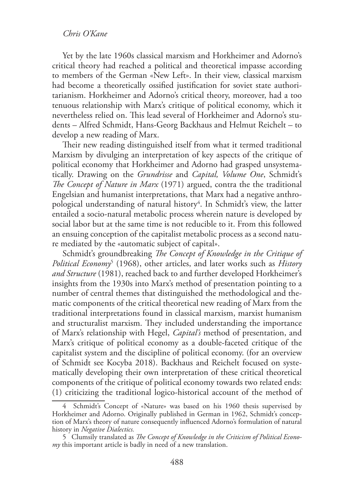Yet by the late 1960s classical marxism and Horkheimer and Adorno's critical theory had reached a political and theoretical impasse according to members of the German «New Left». In their view, classical marxism had become a theoretically ossified justification for soviet state authoritarianism. Horkheimer and Adorno's critical theory, moreover, had a too tenuous relationship with Marx's critique of political economy, which it nevertheless relied on. This lead several of Horkheimer and Adorno's students – Alfred Schmidt, Hans-Georg Backhaus and Helmut Reichelt – to develop a new reading of Marx.

Their new reading distinguished itself from what it termed traditional Marxism by divulging an interpretation of key aspects of the critique of political economy that Horkheimer and Adorno had grasped unsystematically. Drawing on the *Grundrisse* and *Capital, Volume One*, Schmidt's *The Concept of Nature in Marx* (1971) argued, contra the the traditional Engelsian and humanist interpretations, that Marx had a negative anthropological understanding of natural history<sup>4</sup>. In Schmidt's view, the latter entailed a socio-natural metabolic process wherein nature is developed by social labor but at the same time is not reducible to it. From this followed an ensuing conception of the capitalist metabolic process as a second nature mediated by the «automatic subject of capital».

Schmidt's groundbreaking *The Concept of Knowledge in the Critique of Political Economy*<sup>5</sup> (1968), other articles, and later works such as *History and Structure* (1981), reached back to and further developed Horkheimer's insights from the 1930s into Marx's method of presentation pointing to a number of central themes that distinguished the methodological and thematic components of the critical theoretical new reading of Marx from the traditional interpretations found in classical marxism, marxist humanism and structuralist marxism. They included understanding the importance of Marx's relationship with Hegel, *Capital's* method of presentation, and Marx's critique of political economy as a double-faceted critique of the capitalist system and the discipline of political economy. (for an overview of Schmidt see Kocyba 2018). Backhaus and Reichelt focused on systematically developing their own interpretation of these critical theoretical components of the critique of political economy towards two related ends: (1) criticizing the traditional logico-historical account of the method of

<sup>4</sup> Schmidt's Concept of «Nature» was based on his 1960 thesis supervised by Horkheimer and Adorno. Originally published in German in 1962, Schmidt's conception of Marx's theory of nature consequently influenced Adorno's formulation of natural history in *Negative Dialectics.* 

<sup>5</sup> Clumsily translated as *The Concept of Knowledge in the Criticism of Political Economy* this important article is badly in need of a new translation.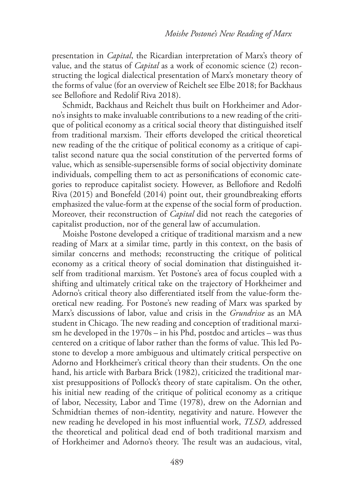presentation in *Capital*, the Ricardian interpretation of Marx's theory of value, and the status of *Capital* as a work of economic science (2) reconstructing the logical dialectical presentation of Marx's monetary theory of the forms of value (for an overview of Reichelt see Elbe 2018; for Backhaus see Bellofiore and Redolif Riva 2018).

Schmidt, Backhaus and Reichelt thus built on Horkheimer and Adorno's insights to make invaluable contributions to a new reading of the critique of political economy as a critical social theory that distinguished itself from traditional marxism. Their efforts developed the critical theoretical new reading of the the critique of political economy as a critique of capitalist second nature qua the social constitution of the perverted forms of value, which as sensible-supersensible forms of social objectivity dominate individuals, compelling them to act as personifications of economic categories to reproduce capitalist society. However, as Bellofiore and Redolfi Riva (2015) and Bonefeld (2014) point out, their groundbreaking efforts emphasized the value-form at the expense of the social form of production. Moreover, their reconstruction of *Capital* did not reach the categories of capitalist production, nor of the general law of accumulation.

Moishe Postone developed a critique of traditional marxism and a new reading of Marx at a similar time, partly in this context, on the basis of similar concerns and methods; reconstructing the critique of political economy as a critical theory of social domination that distinguished itself from traditional marxism. Yet Postone's area of focus coupled with a shifting and ultimately critical take on the trajectory of Horkheimer and Adorno's critical theory also differentiated itself from the value-form theoretical new reading. For Postone's new reading of Marx was sparked by Marx's discussions of labor, value and crisis in the *Grundrisse* as an MA student in Chicago. The new reading and conception of traditional marxism he developed in the 1970s – in his Phd, postdoc and articles – was thus centered on a critique of labor rather than the forms of value. This led Postone to develop a more ambiguous and ultimately critical perspective on Adorno and Horkheimer's critical theory than their students. On the one hand, his article with Barbara Brick (1982), criticized the traditional marxist presuppositions of Pollock's theory of state capitalism. On the other, his initial new reading of the critique of political economy as a critique of labor, Necessity, Labor and Time (1978), drew on the Adornian and Schmidtian themes of non-identity, negativity and nature. However the new reading he developed in his most influential work, *TLSD,* addressed the theoretical and political dead end of both traditional marxism and of Horkheimer and Adorno's theory. The result was an audacious, vital,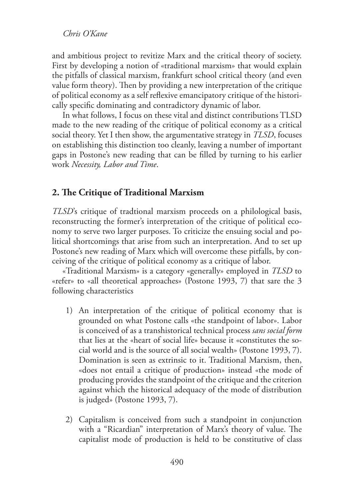and ambitious project to revitize Marx and the critical theory of society. First by developing a notion of «traditional marxism» that would explain the pitfalls of classical marxism, frankfurt school critical theory (and even value form theory). Then by providing a new interpretation of the critique of political economy as a self reflexive emancipatory critique of the historically specific dominating and contradictory dynamic of labor.

In what follows, I focus on these vital and distinct contributions TLSD made to the new reading of the critique of political economy as a critical social theory. Yet I then show, the argumentative strategy in *TLSD*, focuses on establishing this distinction too cleanly, leaving a number of important gaps in Postone's new reading that can be filled by turning to his earlier work *Necessity, Labor and Time*.

#### **2. The Critique of Traditional Marxism**

*TLSD*'s critique of tradtional marxism proceeds on a philological basis, reconstructing the former's interpretation of the critique of political economy to serve two larger purposes. To criticize the ensuing social and political shortcomings that arise from such an interpretation. And to set up Postone's new reading of Marx which will overcome these pitfalls, by conceiving of the critique of political economy as a critique of labor.

«Traditional Marxism» is a category «generally» employed in *TLSD* to «refer» to «all theoretical approaches» (Postone 1993, 7) that sare the 3 following characteristics

- 1) An interpretation of the critique of political economy that is grounded on what Postone calls «the standpoint of labor». Labor is conceived of as a transhistorical technical process *sans social form* that lies at the «heart of social life» because it «constitutes the social world and is the source of all social wealth» (Postone 1993, 7). Domination is seen as extrinsic to it. Traditional Marxism, then, «does not entail a critique of production» instead «the mode of producing provides the standpoint of the critique and the criterion against which the historical adequacy of the mode of distribution is judged» (Postone 1993, 7).
- 2) Capitalism is conceived from such a standpoint in conjunction with a "Ricardian" interpretation of Marx's theory of value. The capitalist mode of production is held to be constitutive of class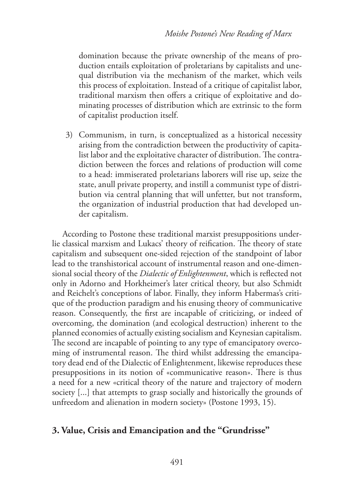domination because the private ownership of the means of production entails exploitation of proletarians by capitalists and unequal distribution via the mechanism of the market, which veils this process of exploitation. Instead of a critique of capitalist labor, traditional marxism then offers a critique of exploitative and dominating processes of distribution which are extrinsic to the form of capitalist production itself.

3) Communism, in turn, is conceptualized as a historical necessity arising from the contradiction between the productivity of capitalist labor and the exploitative character of distribution. The contradiction between the forces and relations of production will come to a head: immiserated proletarians laborers will rise up, seize the state, anull private property, and instill a communist type of distribution via central planning that will unfetter, but not transform, the organization of industrial production that had developed under capitalism.

According to Postone these traditional marxist presuppositions underlie classical marxism and Lukacs' theory of reification. The theory of state capitalism and subsequent one-sided rejection of the standpoint of labor lead to the transhistorical account of instrumental reason and one-dimensional social theory of the *Dialectic of Enlightenment*, which is reflected not only in Adorno and Horkheimer's later critical theory, but also Schmidt and Reichelt's conceptions of labor. Finally, they inform Habermas's critique of the production paradigm and his enusing theory of communicative reason. Consequently, the first are incapable of criticizing, or indeed of overcoming, the domination (and ecological destruction) inherent to the planned economies of actually existing socialism and Keynesian capitalism. The second are incapable of pointing to any type of emancipatory overcoming of instrumental reason. The third whilst addressing the emancipatory dead end of the Dialectic of Enlightenment, likewise reproduces these presuppositions in its notion of «communicative reason». There is thus a need for a new «critical theory of the nature and trajectory of modern society [...] that attempts to grasp socially and historically the grounds of unfreedom and alienation in modern society» (Postone 1993, 15).

#### **3. Value, Crisis and Emancipation and the "Grundrisse"**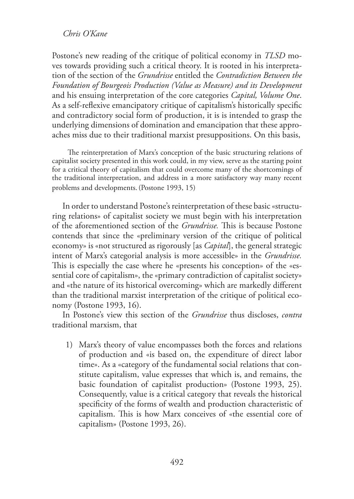Postone's new reading of the critique of political economy in *TLSD* moves towards providing such a critical theory. It is rooted in his interpretation of the section of the *Grundrisse* entitled the *Contradiction Between the Foundation of Bourgeois Production (Value as Measure) and its Development*  and his ensuing interpretation of the core categories *Capital, Volume One*. As a self-reflexive emancipatory critique of capitalism's historically specific and contradictory social form of production, it is is intended to grasp the underlying dimensions of domination and emancipation that these approaches miss due to their traditional marxist presuppositions. On this basis,

The reinterpretation of Marx's conception of the basic structuring relations of capitalist society presented in this work could, in my view, serve as the starting point for a critical theory of capitalism that could overcome many of the shortcomings of the traditional interpretation, and address in a more satisfactory way many recent problems and developments.(Postone 1993, 15)

In order to understand Postone's reinterpretation of these basic «structuring relations» of capitalist society we must begin with his interpretation of the aforementioned section of the *Grundrisse.* This is because Postone contends that since the «preliminary version of the critique of political economy» is «not structured as rigorously [as *Capital*], the general strategic intent of Marx's categorial analysis is more accessible» in the *Grundrisse.* This is especially the case where he «presents his conception» of the «essential core of capitalism», the «primary contradiction of capitalist society» and «the nature of its historical overcoming» which are markedly different than the traditional marxist interpretation of the critique of political economy (Postone 1993, 16).

In Postone's view this section of the *Grundrisse* thus discloses, *contra* traditional marxism, that

1) Marx's theory of value encompasses both the forces and relations of production and «is based on, the expenditure of direct labor time». As a «category of the fundamental social relations that constitute capitalism, value expresses that which is, and remains, the basic foundation of capitalist production» (Postone 1993, 25). Consequently, value is a critical category that reveals the historical specificity of the forms of wealth and production characteristic of capitalism. This is how Marx conceives of «the essential core of capitalism» (Postone 1993, 26).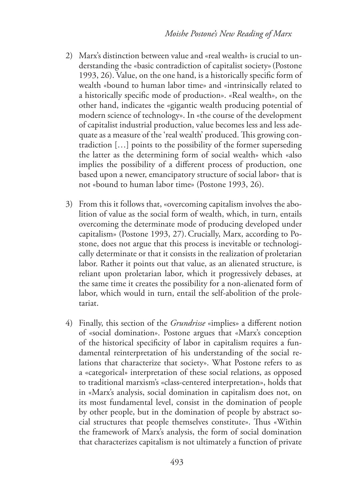- 2) Marx's distinction between value and «real wealth» is crucial to understanding the «basic contradiction of capitalist society»(Postone 1993, 26). Value, on the one hand, is a historically specific form of wealth «bound to human labor time» and «intrinsically related to a historically specific mode of production». «Real wealth», on the other hand, indicates the «gigantic wealth producing potential of modern science of technology». In «the course of the development of capitalist industrial production, value becomes less and less adequate as a measure of the 'real wealth' produced. This growing contradiction […] points to the possibility of the former superseding the latter as the determining form of social wealth» which «also implies the possibility of a different process of production, one based upon a newer, emancipatory structure of social labor» that is not «bound to human labor time» (Postone 1993, 26).
- 3) From this it follows that, «overcoming capitalism involves the abolition of value as the social form of wealth, which, in turn, entails overcoming the determinate mode of producing developed under capitalism» (Postone 1993, 27).Crucially, Marx, according to Postone, does not argue that this process is inevitable or technologically determinate or that it consists in the realization of proletarian labor. Rather it points out that value, as an alienated structure, is reliant upon proletarian labor, which it progressively debases, at the same time it creates the possibility for a non-alienated form of labor, which would in turn, entail the self-abolition of the proletariat.
- 4) Finally, this section of the *Grundrisse* «implies» a different notion of «social domination». Postone argues that «Marx's conception of the historical specificity of labor in capitalism requires a fundamental reinterpretation of his understanding of the social relations that characterize that society». What Postone refers to as a «categorical» interpretation of these social relations, as opposed to traditional marxism's «class-centered interpretation», holds that in «Marx's analysis, social domination in capitalism does not, on its most fundamental level, consist in the domination of people by other people, but in the domination of people by abstract social structures that people themselves constitute». Thus «Within the framework of Marx's analysis, the form of social domination that characterizes capitalism is not ultimately a function of private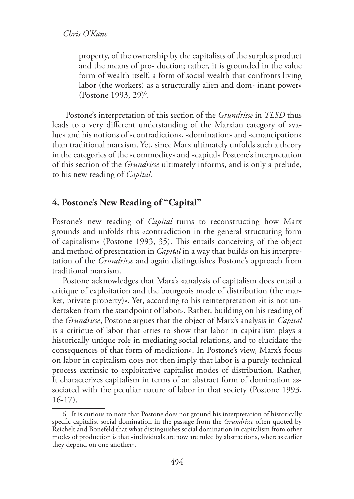property, of the ownership by the capitalists of the surplus product and the means of pro- duction; rather, it is grounded in the value form of wealth itself, a form of social wealth that confronts living labor (the workers) as a structurally alien and dom- inant power» (Postone 1993, 29)<sup>6</sup>.

Postone's interpretation of this section of the *Grundrisse* in *TLSD* thus leads to a very different understanding of the Marxian category of «value» and his notions of «contradiction», «domination» and «emancipation» than traditional marxism. Yet, since Marx ultimately unfolds such a theory in the categories of the «commodity» and «capital» Postone's interpretation of this section of the *Grundrisse* ultimately informs, and is only a prelude, to his new reading of *Capital.*

## **4. Postone's New Reading of "Capital"**

Postone's new reading of *Capital* turns to reconstructing how Marx grounds and unfolds this «contradiction in the general structuring form of capitalism» (Postone 1993, 35). This entails conceiving of the object and method of presentation in *Capital* in a way that builds on his interpretation of the *Grundrisse* and again distinguishes Postone's approach from traditional marxism.

Postone acknowledges that Marx's «analysis of capitalism does entail a critique of exploitation and the bourgeois mode of distribution (the market, private property)». Yet, according to his reinterpretation «it is not undertaken from the standpoint of labor». Rather, building on his reading of the *Grundrisse*, Postone argues that the object of Marx's analysis in *Capital* is a critique of labor that «tries to show that labor in capitalism plays a historically unique role in mediating social relations, and to elucidate the consequences of that form of mediation». In Postone's view, Marx's focus on labor in capitalism does not then imply that labor is a purely technical process extrinsic to exploitative capitalist modes of distribution. Rather, It characterizes capitalism in terms of an abstract form of domination associated with the peculiar nature of labor in that society (Postone 1993, 16-17).

<sup>6</sup> It is curious to note that Postone does not ground his interpretation of historically specfic capitalist social domination in the passage from the *Grundrisse* often quoted by Reichelt and Bonefeld that what distinguishes social domination in capitalism from other modes of production is that «individuals are now are ruled by abstractions, whereas earlier they depend on one another».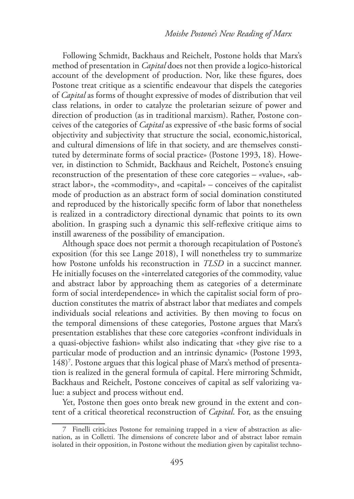Following Schmidt, Backhaus and Reichelt, Postone holds that Marx's method of presentation in *Capital* does not then provide a logico-historical account of the development of production. Nor, like these figures, does Postone treat critique as a scientific endeavour that dispels the categories of *Capital* as forms of thought expressive of modes of distribution that veil class relations, in order to catalyze the proletarian seizure of power and direction of production (as in traditional marxism). Rather, Postone conceives of the categories of *Capital* as expressive of «the basic forms of social objectivity and subjectivity that structure the social, economic,historical, and cultural dimensions of life in that society, and are themselves constituted by determinate forms of social practice» (Postone 1993, 18). However, in distinction to Schmidt, Backhaus and Reichelt, Postone's ensuing reconstruction of the presentation of these core categories – «value», «abstract labor», the «commodity», and «capital» – conceives of the capitalist mode of production as an abstract form of social domination constituted and reproduced by the historically specific form of labor that nonetheless is realized in a contradictory directional dynamic that points to its own abolition. In grasping such a dynamic this self-reflexive critique aims to instill awareness of the possibility of emancipation.

Although space does not permit a thorough recapitulation of Postone's exposition (for this see Lange 2018), I will nonetheless try to summarize how Postone unfolds his reconstruction in *TLSD* in a succinct manner. He initially focuses on the «interrelated categories of the commodity, value and abstract labor by approaching them as categories of a determinate form of social interdependence» in which the capitalist social form of production constitutes the matrix of abstract labor that mediates and compels individuals social releations and activities. By then moving to focus on the temporal dimensions of these categories, Postone argues that Marx's presentation establishes that these core categories «confront individuals in a quasi-objective fashion» whilst also indicating that «they give rise to a particular mode of production and an intrinsic dynamic» (Postone 1993, 148)7 . Postone argues that this logical phase of Marx's method of presentation is realized in the general formula of capital. Here mirroring Schmidt, Backhaus and Reichelt, Postone conceives of capital as self valorizing value: a subject and process without end.

Yet, Postone then goes onto break new ground in the extent and content of a critical theoretical reconstruction of *Capital*. For, as the ensuing

<sup>7</sup> Finelli criticizes Postone for remaining trapped in a view of abstraction as alienation, as in Colletti. The dimensions of concrete labor and of abstract labor remain isolated in their opposition, in Postone without the mediation given by capitalist techno-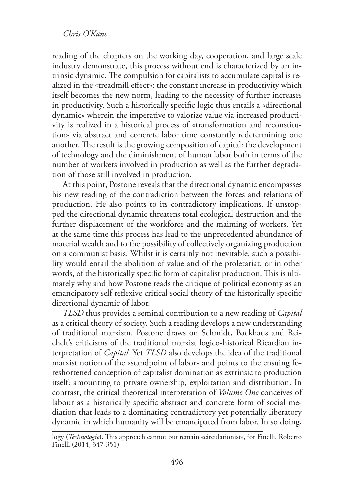reading of the chapters on the working day, cooperation, and large scale industry demonstrate, this process without end is characterized by an intrinsic dynamic. The compulsion for capitalists to accumulate capital is realized in the «treadmill effect»: the constant increase in productivity which itself becomes the new norm, leading to the necessity of further increases in productivity. Such a historically specific logic thus entails a «directional dynamic» wherein the imperative to valorize value via increased productivity is realized in a historical process of «transformation and reconstitution» via abstract and concrete labor time constantly redetermining one another. The result is the growing composition of capital: the development of technology and the diminishment of human labor both in terms of the number of workers involved in production as well as the further degradation of those still involved in production.

At this point, Postone reveals that the directional dynamic encompasses his new reading of the contradiction between the forces and relations of production. He also points to its contradictory implications. If unstopped the directional dynamic threatens total ecological destruction and the further displacement of the workforce and the maiming of workers. Yet at the same time this process has lead to the unprecedented abundance of material wealth and to the possibility of collectively organizing production on a communist basis. Whilst it is certainly not inevitable, such a possibility would entail the abolition of value and of the proletariat, or in other words, of the historically specific form of capitalist production. This is ultimately why and how Postone reads the critique of political economy as an emancipatory self reflexive critical social theory of the historically specific directional dynamic of labor.

*TLSD* thus provides a seminal contribution to a new reading of *Capital* as a critical theory of society. Such a reading develops a new understanding of traditional marxism. Postone draws on Schmidt, Backhaus and Reichelt's criticisms of the traditional marxist logico-historical Ricardian interpretation of *Capital.* Yet *TLSD* also develops the idea of the traditional marxist notion of the «standpoint of labor» and points to the ensuing foreshortened conception of capitalist domination as extrinsic to production itself: amounting to private ownership, exploitation and distribution. In contrast, the critical theoretical interpretation of *Volume One* conceives of labour as a historically specific abstract and concrete form of social mediation that leads to a dominating contradictory yet potentially liberatory dynamic in which humanity will be emancipated from labor. In so doing,

logy (*Technologie*). This approach cannot but remain «circulationist», for Finelli. Roberto Finelli (2014, 347-351)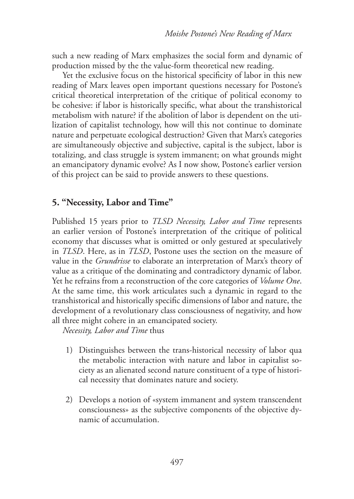such a new reading of Marx emphasizes the social form and dynamic of production missed by the the value-form theoretical new reading.

Yet the exclusive focus on the historical specificity of labor in this new reading of Marx leaves open important questions necessary for Postone's critical theoretical interpretation of the critique of political economy to be cohesive: if labor is historically specific, what about the transhistorical metabolism with nature? if the abolition of labor is dependent on the utilization of capitalist technology, how will this not continue to dominate nature and perpetuate ecological destruction? Given that Marx's categories are simultaneously objective and subjective, capital is the subject, labor is totalizing, and class struggle is system immanent; on what grounds might an emancipatory dynamic evolve? As I now show, Postone's earlier version of this project can be said to provide answers to these questions.

# **5. "Necessity, Labor and Time"**

Published 15 years prior to *TLSD Necessity, Labor and Time* represents an earlier version of Postone's interpretation of the critique of political economy that discusses what is omitted or only gestured at speculatively in *TLSD*. Here, as in *TLSD*, Postone uses the section on the measure of value in the *Grundrisse* to elaborate an interpretation of Marx's theory of value as a critique of the dominating and contradictory dynamic of labor. Yet he refrains from a reconstruction of the core categories of *Volume One*. At the same time, this work articulates such a dynamic in regard to the transhistorical and historically specific dimensions of labor and nature, the development of a revolutionary class consciousness of negativity, and how all three might cohere in an emancipated society.

*Necessity, Labor and Time* thus

- 1) Distinguishes between the trans-historical necessity of labor qua the metabolic interaction with nature and labor in capitalist society as an alienated second nature constituent of a type of historical necessity that dominates nature and society.
- 2) Develops a notion of «system immanent and system transcendent consciousness» as the subjective components of the objective dynamic of accumulation.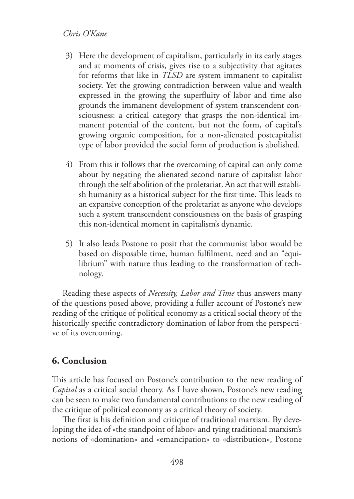- 3) Here the development of capitalism, particularly in its early stages and at moments of crisis, gives rise to a subjectivity that agitates for reforms that like in *TLSD* are system immanent to capitalist society. Yet the growing contradiction between value and wealth expressed in the growing the superfluity of labor and time also grounds the immanent development of system transcendent consciousness: a critical category that grasps the non-identical immanent potential of the content, but not the form, of capital's growing organic composition, for a non-alienated postcapitalist type of labor provided the social form of production is abolished.
- 4) From this it follows that the overcoming of capital can only come about by negating the alienated second nature of capitalist labor through the self abolition of the proletariat. An act that will establish humanity as a historical subject for the first time. This leads to an expansive conception of the proletariat as anyone who develops such a system transcendent consciousness on the basis of grasping this non-identical moment in capitalism's dynamic.
- 5) It also leads Postone to posit that the communist labor would be based on disposable time, human fulfilment, need and an "equilibrium" with nature thus leading to the transformation of technology.

Reading these aspects of *Necessity, Labor and Time* thus answers many of the questions posed above, providing a fuller account of Postone's new reading of the critique of political economy as a critical social theory of the historically specific contradictory domination of labor from the perspective of its overcoming.

#### **6. Conclusion**

This article has focused on Postone's contribution to the new reading of *Capital* as a critical social theory. As I have shown, Postone's new reading can be seen to make two fundamental contributions to the new reading of the critique of political economy as a critical theory of society.

The first is his definition and critique of traditional marxism. By developing the idea of «the standpoint of labor» and tying traditional marxism's notions of «domination» and «emancipation» to «distribution», Postone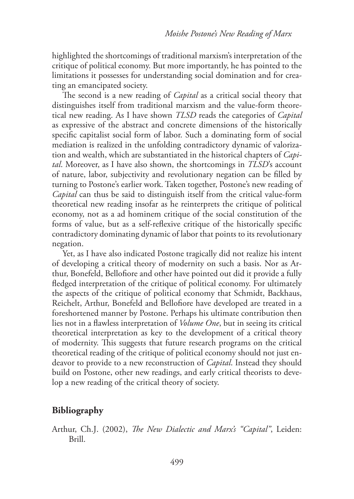highlighted the shortcomings of traditional marxism's interpretation of the critique of political economy. But more importantly, he has pointed to the limitations it possesses for understanding social domination and for creating an emancipated society.

The second is a new reading of *Capital* as a critical social theory that distinguishes itself from traditional marxism and the value-form theoretical new reading. As I have shown *TLSD* reads the categories of *Capital* as expressive of the abstract and concrete dimensions of the historically specific capitalist social form of labor. Such a dominating form of social mediation is realized in the unfolding contradictory dynamic of valorization and wealth, which are substantiated in the historical chapters of *Capital*. Moreover, as I have also shown, the shortcomings in *TLSD*'s account of nature, labor, subjectivity and revolutionary negation can be filled by turning to Postone's earlier work. Taken together, Postone's new reading of *Capital* can thus be said to distinguish itself from the critical value-form theoretical new reading insofar as he reinterprets the critique of political economy, not as a ad hominem critique of the social constitution of the forms of value, but as a self-reflexive critique of the historically specific contradictory dominating dynamic of labor that points to its revolutionary negation.

Yet, as I have also indicated Postone tragically did not realize his intent of developing a critical theory of modernity on such a basis. Nor as Arthur, Bonefeld, Bellofiore and other have pointed out did it provide a fully fledged interpretation of the critique of political economy. For ultimately the aspects of the critique of political economy that Schmidt, Backhaus, Reichelt, Arthur, Bonefeld and Bellofiore have developed are treated in a foreshortened manner by Postone. Perhaps his ultimate contribution then lies not in a flawless interpretation of *Volume One*, but in seeing its critical theoretical interpretation as key to the development of a critical theory of modernity. This suggests that future research programs on the critical theoretical reading of the critique of political economy should not just endeavor to provide to a new reconstruction of *Capital*. Instead they should build on Postone, other new readings, and early critical theorists to develop a new reading of the critical theory of society.

#### **Bibliography**

Arthur, Ch.J. (2002), *The New Dialectic and Marx's "Capital"*, Leiden: Brill.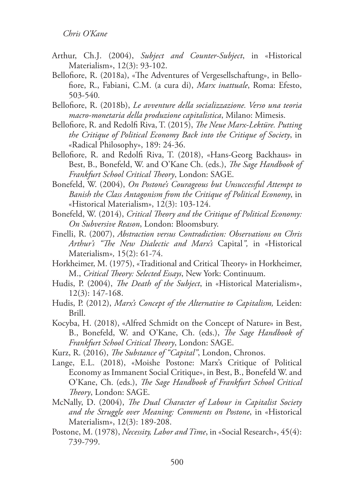- Arthur, Ch.J. (2004), *Subject and Counter-Subject*, in «Historical Materialism», 12(3): 93-102.
- Bellofiore, R. (2018a), «The Adventures of Vergesellschaftung», in Bellofiore, R., Fabiani, C.M. (a cura di), *Marx inattuale*, Roma: Efesto, 503-540*.*

Bellofiore, R. (2018b), *Le avventure della socializzazione. Verso una teoria macro-monetaria della produzione capitalistica*, Milano: Mimesis.

Bellofiore, R. and Redolfi Riva, T. (2015), *The Neue Marx-Lektüre. Putting the Critique of Political Economy Back into the Critique of Society*, in «Radical Philosophy», 189: 24-36.

Bellofiore, R. and Redolfi Riva, T. (2018), «Hans-Georg Backhaus» in Best, B., Bonefeld, W. and O'Kane Ch. (eds.), *The Sage Handbook of Frankfurt School Critical Theory*, London: SAGE.

Bonefeld, W. (2004), *On Postone's Courageous but Unsuccessful Attempt to Banish the Class Antagonism from the Critique of Political Economy*, in «Historical Materialism», 12(3): 103-124.

- Bonefeld, W. (2014), *Critical Theory and the Critique of Political Economy: On Subversive Reason*, London: Bloomsbury.
- Finelli, R. (2007), *Abstraction versus Contradiction: Observations on Chris Arthur's "The New Dialectic and Marx's* Capital*",* in «Historical Materialism»*,* 15(2): 61-74.
- Horkheimer, M. (1975), «Traditional and Critical Theory» in Horkheimer, M., *Critical Theory: Selected Essays*, New York: Continuum.
- Hudis, P. (2004), *The Death of the Subject*, in «Historical Materialism», 12(3): 147-168.
- Hudis, P. (2012), *Marx's Concept of the Alternative to Capitalism,* Leiden: Brill.
- Kocyba, H. (2018), «Alfred Schmidt on the Concept of Nature» in Best, B., Bonefeld, W. and O'Kane, Ch. (eds.), *The Sage Handbook of Frankfurt School Critical Theory*, London: SAGE.
- Kurz, R. (2016), *The Substance of "Capital"*, London, Chronos.
- Lange, E.L. (2018), «Moishe Postone: Marx's Critique of Political Economy as Immanent Social Critique», in Best, B., Bonefeld W. and O'Kane, Ch. (eds.), *The Sage Handbook of Frankfurt School Critical Theory*, London: SAGE.
- McNally, D. (2004), *The Dual Character of Labour in Capitalist Society and the Struggle over Meaning: Comments on Postone*, in «Historical Materialism», 12(3): 189-208.
- Postone, M. (1978), *Necessity, Labor and Time*, in «Social Research», 45(4): 739-799.